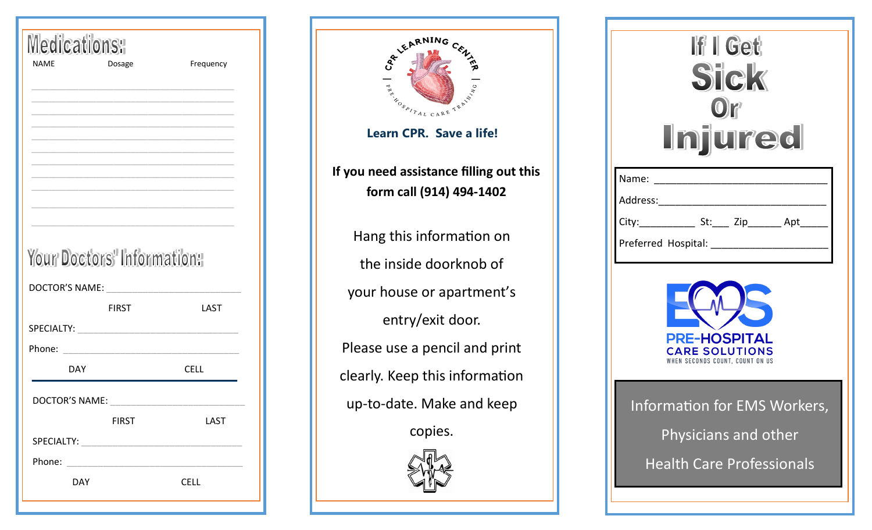| <b>Medications:</b>        |             |
|----------------------------|-------------|
| <b>NAME</b><br>Dosage      | Frequency   |
|                            |             |
|                            |             |
|                            |             |
|                            |             |
|                            |             |
|                            |             |
|                            |             |
|                            |             |
|                            |             |
|                            |             |
| Your Doctors' Information: |             |
| DOCTOR'S NAME:             |             |
| <b>FIRST</b>               | LAST        |
|                            |             |
| Phone:                     |             |
| <b>DAY</b>                 | <b>CELL</b> |
|                            |             |
| DOCTOR'S NAME:             |             |
| <b>FIRST</b>               | LAST        |
|                            |             |
|                            |             |
| Phone:                     |             |
| <b>DAY</b>                 | <b>CELL</b> |
|                            |             |

| BRAING CENT<br><b>ARANDSPITAL</b><br>CARE TRA<br>Learn CPR. Save a life! |
|--------------------------------------------------------------------------|
| If you need assistance filling out this<br>form call (914) 494-1402      |
| Hang this information on                                                 |
| the inside doorknob of                                                   |
| your house or apartment's                                                |
| entry/exit door.                                                         |
| Please use a pencil and print                                            |
| clearly. Keep this information                                           |
| up-to-date. Make and keep                                                |
| copies.                                                                  |
|                                                                          |

| If I Get<br>Sick<br>Or<br><b>Injured</b>                                                        |
|-------------------------------------------------------------------------------------------------|
| Name:                                                                                           |
| Address:                                                                                        |
| City:_________________ St:_____ Zip_________ Apt_                                               |
| Preferred Hospital: _______________                                                             |
| <b>PRE-HOSPITAL</b><br><b>CARE SOLUTIONS</b><br>WHEN SECONDS COUNT, COUNT ON US                 |
| <b>Information for EMS Workers,</b><br>Physicians and other<br><b>Health Care Professionals</b> |
|                                                                                                 |